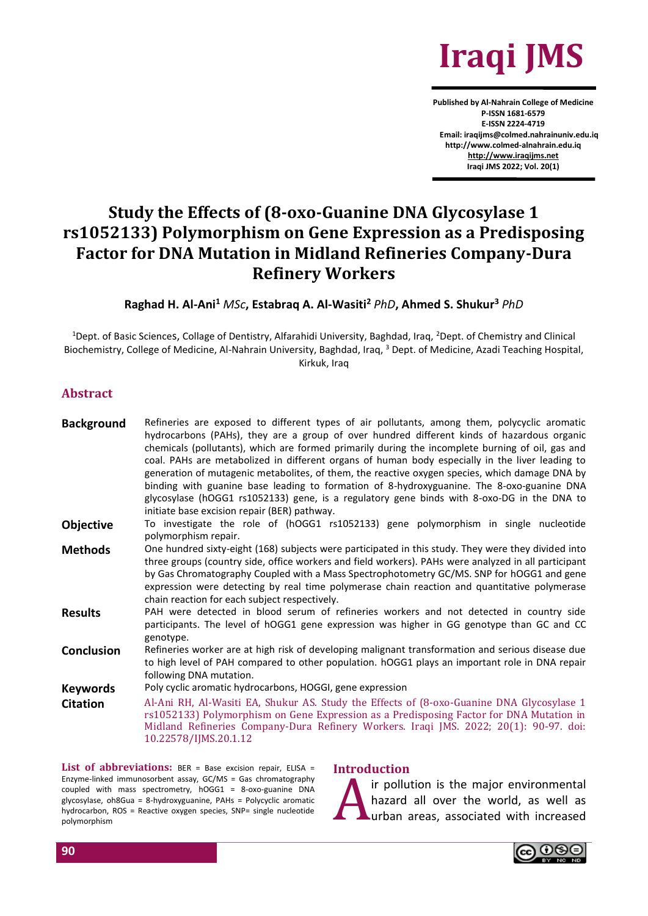

**Published by Al-Nahrain College of Medicine P-ISSN 1681-6579 E-ISSN 2224-4719 Email: iraqijms@colmed.nahrainuniv.edu.iq http://www.colmed-alnahrain.edu.iq [http://www.iraqijms.net](http://www.iraqijms.net/) Iraqi JMS 2022; Vol. 20(1)**

# **Study the Effects of (8-oxo-Guanine DNA Glycosylase 1 rs1052133) Polymorphism on Gene Expression as a Predisposing Factor for DNA Mutation in Midland Refineries Company-Dura Refinery Workers**

**Raghad H. Al-Ani<sup>1</sup>** *MSc***, Estabraq A. Al-Wasiti<sup>2</sup>** *PhD***, Ahmed S. Shukur<sup>3</sup>** *PhD*

<sup>1</sup>Dept. of Basic Sciences, Collage of Dentistry, Alfarahidi University, Baghdad, Iraq, <sup>2</sup>Dept. of Chemistry and Clinical Biochemistry, College of Medicine, Al-Nahrain University, Baghdad, Iraq, <sup>3</sup> Dept. of Medicine, Azadi Teaching Hospital, Kirkuk, Iraq

#### **Abstract**

| <b>Background</b> | Refineries are exposed to different types of air pollutants, among them, polycyclic aromatic<br>hydrocarbons (PAHs), they are a group of over hundred different kinds of hazardous organic<br>chemicals (pollutants), which are formed primarily during the incomplete burning of oil, gas and<br>coal. PAHs are metabolized in different organs of human body especially in the liver leading to<br>generation of mutagenic metabolites, of them, the reactive oxygen species, which damage DNA by<br>binding with guanine base leading to formation of 8-hydroxyguanine. The 8-oxo-guanine DNA<br>glycosylase (hOGG1 rs1052133) gene, is a regulatory gene binds with 8-oxo-DG in the DNA to<br>initiate base excision repair (BER) pathway. |
|-------------------|------------------------------------------------------------------------------------------------------------------------------------------------------------------------------------------------------------------------------------------------------------------------------------------------------------------------------------------------------------------------------------------------------------------------------------------------------------------------------------------------------------------------------------------------------------------------------------------------------------------------------------------------------------------------------------------------------------------------------------------------|
| <b>Objective</b>  | To investigate the role of (hOGG1 rs1052133) gene polymorphism in single nucleotide<br>polymorphism repair.                                                                                                                                                                                                                                                                                                                                                                                                                                                                                                                                                                                                                                    |
| <b>Methods</b>    | One hundred sixty-eight (168) subjects were participated in this study. They were they divided into<br>three groups (country side, office workers and field workers). PAHs were analyzed in all participant<br>by Gas Chromatography Coupled with a Mass Spectrophotometry GC/MS. SNP for hOGG1 and gene<br>expression were detecting by real time polymerase chain reaction and quantitative polymerase<br>chain reaction for each subject respectively.                                                                                                                                                                                                                                                                                      |
| <b>Results</b>    | PAH were detected in blood serum of refineries workers and not detected in country side<br>participants. The level of hOGG1 gene expression was higher in GG genotype than GC and CC<br>genotype.                                                                                                                                                                                                                                                                                                                                                                                                                                                                                                                                              |
| <b>Conclusion</b> | Refineries worker are at high risk of developing malignant transformation and serious disease due<br>to high level of PAH compared to other population. hOGG1 plays an important role in DNA repair<br>following DNA mutation.                                                                                                                                                                                                                                                                                                                                                                                                                                                                                                                 |
| <b>Keywords</b>   | Poly cyclic aromatic hydrocarbons, HOGGI, gene expression                                                                                                                                                                                                                                                                                                                                                                                                                                                                                                                                                                                                                                                                                      |
| <b>Citation</b>   | Al-Ani RH, Al-Wasiti EA, Shukur AS. Study the Effects of (8-oxo-Guanine DNA Glycosylase 1<br>rs1052133) Polymorphism on Gene Expression as a Predisposing Factor for DNA Mutation in<br>Midland Refineries Company-Dura Refinery Workers. Iraqi JMS. 2022; 20(1): 90-97. doi:<br>10.22578/IJMS.20.1.12                                                                                                                                                                                                                                                                                                                                                                                                                                         |

List of abbreviations: BER = Base excision repair, ELISA = Enzyme-linked immunosorbent assay, GC/MS = Gas chromatography coupled with mass spectrometry, hOGG1 = 8-oxo-guanine DNA glycosylase, oh8Gua = 8-hydroxyguanine, PAHs = Polycyclic aromatic hydrocarbon, ROS = Reactive oxygen species, SNP= single nucleotide polymorphism

#### **Introduction**

Introduction<br>
hazard all over the world, as well as<br>
urban areas, associated with increased

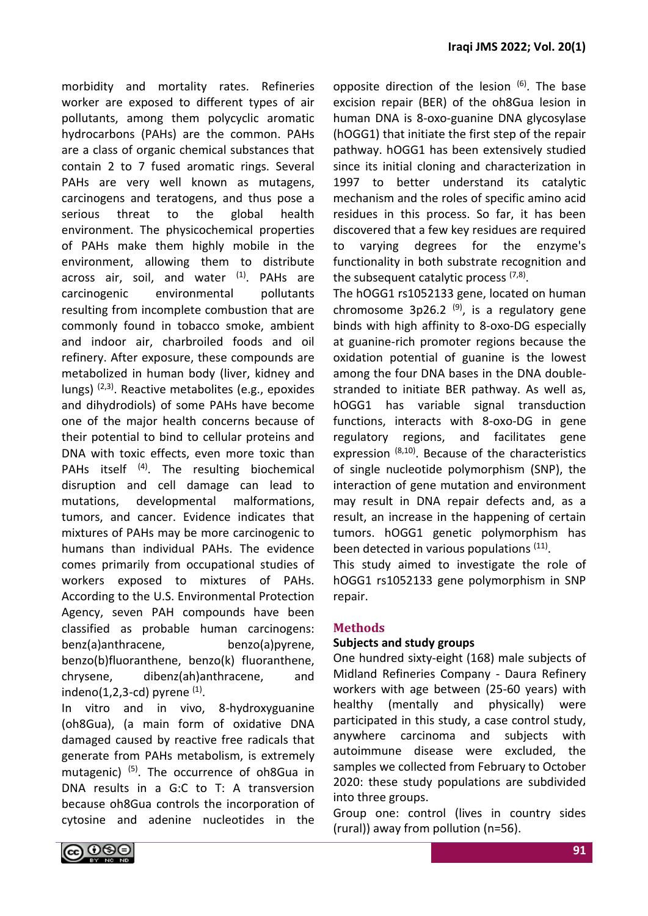morbidity and mortality rates. Refineries worker are exposed to different types of air pollutants, among them polycyclic aromatic hydrocarbons (PAHs) are the common. PAHs are a class of organic chemical substances that contain 2 to 7 fused aromatic rings. Several PAHs are very well known as mutagens, carcinogens and teratogens, and thus pose a serious threat to the global health environment. The physicochemical properties of PAHs make them highly mobile in the environment, allowing them to distribute across air, soil, and water  $(1)$ . PAHs are carcinogenic environmental pollutants resulting from incomplete combustion that are commonly found in tobacco smoke, ambient and indoor air, charbroiled foods and oil refinery. After exposure, these compounds are metabolized in human body (liver, kidney and lungs)  $(2,3)$ . Reactive metabolites (e.g., epoxides and dihydrodiols) of some PAHs have become one of the major health concerns because of their potential to bind to cellular proteins and DNA with toxic effects, even more toxic than PAHs itself (4). The resulting biochemical disruption and cell damage can lead to mutations, developmental malformations, tumors, and cancer. Evidence indicates that mixtures of PAHs may be more carcinogenic to humans than individual PAHs. The evidence comes primarily from occupational studies of workers exposed to mixtures of PAHs. According to the U.S. Environmental Protection Agency, seven PAH compounds have been classified as probable human carcinogens: benz(a)anthracene, benzo(a)pyrene, benzo(b)fluoranthene, benzo(k) fluoranthene, chrysene, dibenz(ah)anthracene, and indeno $(1,2,3$ -cd) pyrene  $<sup>(1)</sup>$ .</sup>

In vitro and in vivo, 8-hydroxyguanine (oh8Gua), (a main form of oxidative DNA damaged caused by reactive free radicals that generate from PAHs metabolism, is extremely mutagenic) (5). The occurrence of oh8Gua in DNA results in a G:C to T: A transversion because oh8Gua controls the incorporation of cytosine and adenine nucleotides in the opposite direction of the lesion  $(6)$ . The base excision repair (BER) of the oh8Gua lesion in human DNA is 8-oxo-guanine DNA glycosylase (hOGG1) that initiate the first step of the repair pathway. hOGG1 has been extensively studied since its initial cloning and characterization in 1997 to better understand its catalytic mechanism and the roles of specific amino acid residues in this process. So far, it has been discovered that a few key residues are required to varying degrees for the enzyme's functionality in both substrate recognition and the subsequent catalytic process (7,8).

The hOGG1 rs1052133 gene, located on human chromosome 3p26.2  $(9)$ , is a regulatory gene binds with high affinity to 8-oxo-DG especially at guanine-rich promoter regions because the oxidation potential of guanine is the lowest among the four DNA bases in the DNA doublestranded to initiate BER pathway. As well as, hOGG1 has variable signal transduction functions, interacts with 8-oxo-DG in gene regulatory regions, and facilitates gene expression  $(8,10)$ . Because of the characteristics of single nucleotide polymorphism (SNP), the interaction of gene mutation and environment may result in DNA repair defects and, as a result, an increase in the happening of certain tumors. hOGG1 genetic polymorphism has been detected in various populations <sup>(11)</sup>.

This study aimed to investigate the role of hOGG1 rs1052133 gene polymorphism in SNP repair.

#### **Methods**

#### **Subjects and study groups**

One hundred sixty-eight (168) male subjects of Midland Refineries Company - Daura Refinery workers with age between (25-60 years) with healthy (mentally and physically) were participated in this study, a case control study, anywhere carcinoma and subjects with autoimmune disease were excluded, the samples we collected from February to October 2020: these study populations are subdivided into three groups.

Group one: control (lives in country sides (rural)) away from pollution (n=56).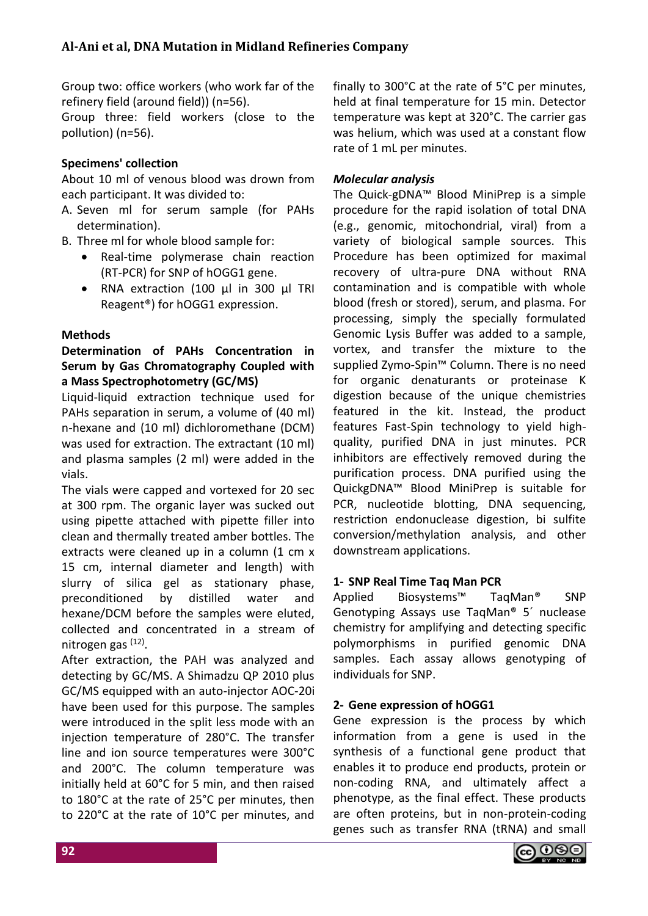Group two: office workers (who work far of the refinery field (around field)) (n=56).

Group three: field workers (close to the pollution) (n=56).

# **Specimens' collection**

About 10 ml of venous blood was drown from each participant. It was divided to:

- A. Seven ml for serum sample (for PAHs determination).
- B. Three ml for whole blood sample for:
	- Real-time polymerase chain reaction (RT-PCR) for SNP of hOGG1 gene.
	- RNA extraction (100 µl in 300 µl TRI Reagent®) for hOGG1 expression.

# **Methods**

## **Determination of PAHs Concentration in Serum by Gas Chromatography Coupled with a Mass Spectrophotometry (GC/MS)**

Liquid-liquid extraction technique used for PAHs separation in serum, a volume of (40 ml) n-hexane and (10 ml) dichloromethane (DCM) was used for extraction. The extractant (10 ml) and plasma samples (2 ml) were added in the vials.

The vials were capped and vortexed for 20 sec at 300 rpm. The organic layer was sucked out using pipette attached with pipette filler into clean and thermally treated amber bottles. The extracts were cleaned up in a column (1 cm x 15 cm, internal diameter and length) with slurry of silica gel as stationary phase, preconditioned by distilled water and hexane/DCM before the samples were eluted, collected and concentrated in a stream of nitrogen gas <sup>(12)</sup>.

After extraction, the PAH was analyzed and detecting by GC/MS. A Shimadzu QP 2010 plus GC/MS equipped with an auto-injector AOC-20i have been used for this purpose. The samples were introduced in the split less mode with an injection temperature of 280°C. The transfer line and ion source temperatures were 300°C and 200°C. The column temperature was initially held at 60°C for 5 min, and then raised to 180°C at the rate of 25°C per minutes, then to 220°C at the rate of 10°C per minutes, and

finally to 300°C at the rate of 5°C per minutes, held at final temperature for 15 min. Detector temperature was kept at 320°C. The carrier gas was helium, which was used at a constant flow rate of 1 mL per minutes.

# *Molecular analysis*

The Quick-gDNA™ Blood MiniPrep is a simple procedure for the rapid isolation of total DNA (e.g., genomic, mitochondrial, viral) from a variety of biological sample sources. This Procedure has been optimized for maximal recovery of ultra-pure DNA without RNA contamination and is compatible with whole blood (fresh or stored), serum, and plasma. For processing, simply the specially formulated Genomic Lysis Buffer was added to a sample, vortex, and transfer the mixture to the supplied Zymo-Spin™ Column. There is no need for organic denaturants or proteinase K digestion because of the unique chemistries featured in the kit. Instead, the product features Fast-Spin technology to yield highquality, purified DNA in just minutes. PCR inhibitors are effectively removed during the purification process. DNA purified using the QuickgDNA™ Blood MiniPrep is suitable for PCR, nucleotide blotting, DNA sequencing, restriction endonuclease digestion, bi sulfite conversion/methylation analysis, and other downstream applications.

## **1- SNP Real Time Taq Man PCR**

Applied Biosystems™ TaqMan® SNP Genotyping Assays use TaqMan® 5´ nuclease chemistry for amplifying and detecting specific polymorphisms in purified genomic DNA samples. Each assay allows genotyping of individuals for SNP.

## **2- Gene expression of hOGG1**

Gene expression is the process by which information from a gene is used in the synthesis of a functional gene product that enables it to produce end products, protein or non-coding RNA, and ultimately affect a phenotype, as the final effect. These products are often proteins, but in non-protein-coding genes such as transfer RNA (tRNA) and small

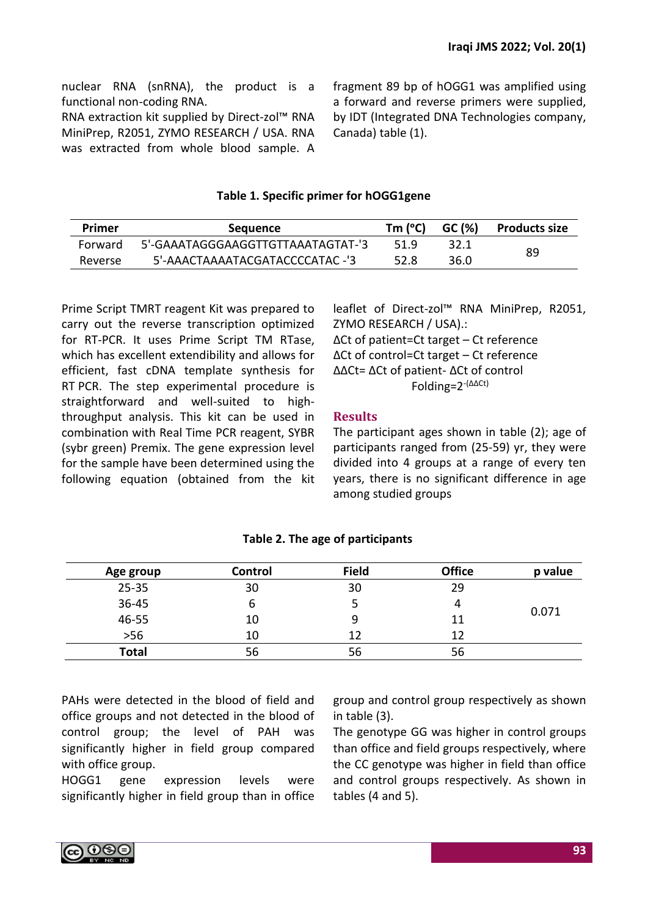RNA extraction kit supplied by Direct-zol™ RNA MiniPrep, R2051, ZYMO RESEARCH / USA. RNA was extracted from whole blood sample. A fragment 89 bp of hOGG1 was amplified using a forward and reverse primers were supplied, by IDT (Integrated DNA Technologies company, Canada) table (1).

## **Table 1. Specific primer for hOGG1gene**

| Primer  | <b>Sequence</b>                   | Tm (°C) | GC (%) | <b>Products size</b> |
|---------|-----------------------------------|---------|--------|----------------------|
| Forward | 5'-GAAATAGGGAAGGTTGTTAAATAGTAT-'3 | 519     | 32.1   |                      |
| Reverse | 5'-AAACTAAAATACGATACCCCATAC -'3   | 52.8    | 36.0   | 89                   |

Prime Script TMRT reagent Kit was prepared to carry out the reverse transcription optimized for RT-PCR. It uses Prime Script TM RTase, which has excellent extendibility and allows for efficient, fast cDNA template synthesis for RT PCR. The step experimental procedure is straightforward and well-suited to highthroughput analysis. This kit can be used in combination with Real Time PCR reagent, SYBR (sybr green) Premix. The gene expression level for the sample have been determined using the following equation (obtained from the kit leaflet of Direct-zol™ RNA MiniPrep, R2051, ZYMO RESEARCH / USA).:

ΔCt of patient=Ct target – Ct reference ΔCt of control=Ct target – Ct reference ΔΔCt= ΔCt of patient- ΔCt of control Folding=2-(ΔΔCt)

## **Results**

The participant ages shown in table (2); age of participants ranged from (25-59) yr, they were divided into 4 groups at a range of every ten years, there is no significant difference in age among studied groups

| Age group | Control | <b>Field</b> | <b>Office</b> | p value |
|-----------|---------|--------------|---------------|---------|
| $25 - 35$ | 30      | 30           | 29            | 0.071   |
| 36-45     | O       |              | 4             |         |
| 46-55     | 10      | 9            | 11            |         |
| $>56$     | 10      | 12           | 12            |         |
| Total     | 56      | 56           | 56            |         |

# **Table 2. The age of participants**

PAHs were detected in the blood of field and office groups and not detected in the blood of control group; the level of PAH was significantly higher in field group compared with office group.

HOGG1 gene expression levels were significantly higher in field group than in office group and control group respectively as shown in table (3).

The genotype GG was higher in control groups than office and field groups respectively, where the CC genotype was higher in field than office and control groups respectively. As shown in tables (4 and 5).

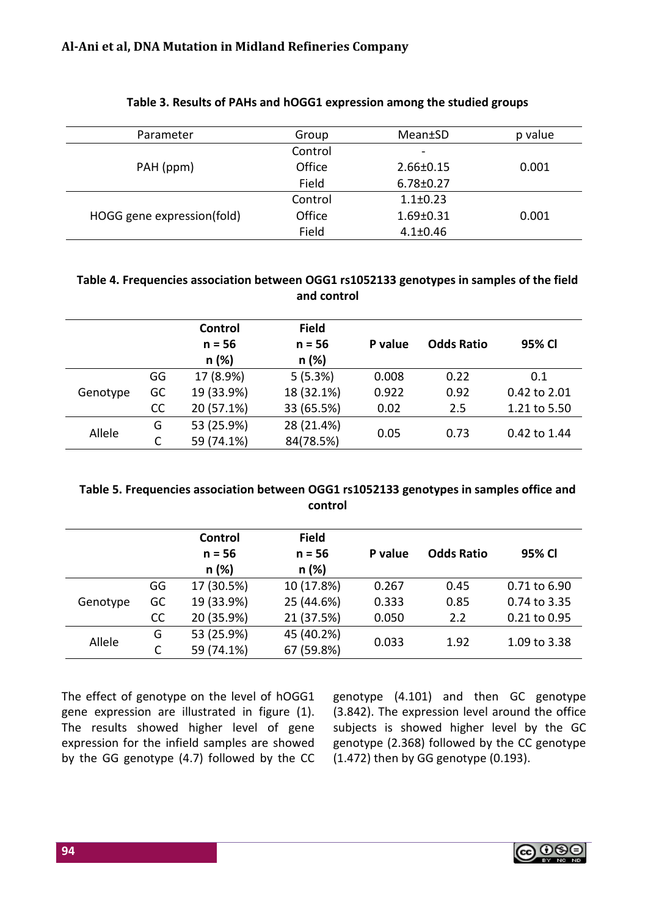| Parameter                  | Group   | Mean±SD                      | p value |
|----------------------------|---------|------------------------------|---------|
|                            | Control | $\qquad \qquad \blacksquare$ |         |
| PAH (ppm)                  | Office  | $2.66 \pm 0.15$              | 0.001   |
|                            | Field   | $6.78 \pm 0.27$              |         |
|                            | Control | $1.1 \pm 0.23$               |         |
| HOGG gene expression(fold) | Office  | $1.69 \pm 0.31$              | 0.001   |
|                            | Field   | $4.1 \pm 0.46$               |         |

## **Table 3. Results of PAHs and hOGG1 expression among the studied groups**

## **Table 4. Frequencies association between OGG1 rs1052133 genotypes in samples of the field and control**

|          |    | <b>Control</b><br>$n = 56$<br>n (%) | <b>Field</b><br>$n = 56$<br>n(%) | P value | <b>Odds Ratio</b> | 95% CI       |
|----------|----|-------------------------------------|----------------------------------|---------|-------------------|--------------|
| Genotype | GG | 17 (8.9%)                           | 5(5.3%)                          | 0.008   | 0.22              | 0.1          |
|          | GC | 19 (33.9%)                          | 18 (32.1%)                       | 0.922   | 0.92              | 0.42 to 2.01 |
|          | cc | 20 (57.1%)                          | 33 (65.5%)                       | 0.02    | 2.5               | 1.21 to 5.50 |
| Allele   | G  | 53 (25.9%)                          | 28 (21.4%)                       | 0.05    | 0.73              | 0.42 to 1.44 |
|          | С  | 59 (74.1%)                          | 84(78.5%)                        |         |                   |              |

## **Table 5. Frequencies association between OGG1 rs1052133 genotypes in samples office and control**

|          |    | Control    | <b>Field</b> |         |                   |              |
|----------|----|------------|--------------|---------|-------------------|--------------|
|          |    | $n = 56$   | $n = 56$     | P value | <b>Odds Ratio</b> | 95% CI       |
|          |    | n(%)       | n (%)        |         |                   |              |
| Genotype | GG | 17 (30.5%) | 10 (17.8%)   | 0.267   | 0.45              | 0.71 to 6.90 |
|          | GC | 19 (33.9%) | 25 (44.6%)   | 0.333   | 0.85              | 0.74 to 3.35 |
|          | cc | 20 (35.9%) | 21 (37.5%)   | 0.050   | 2.2               | 0.21 to 0.95 |
| Allele   | G  | 53 (25.9%) | 45 (40.2%)   |         | 1.92              |              |
|          | C  | 59 (74.1%) | 67 (59.8%)   | 0.033   |                   | 1.09 to 3.38 |

The effect of genotype on the level of hOGG1 gene expression are illustrated in figure (1). The results showed higher level of gene expression for the infield samples are showed by the GG genotype (4.7) followed by the CC

genotype (4.101) and then GC genotype (3.842). The expression level around the office subjects is showed higher level by the GC genotype (2.368) followed by the CC genotype (1.472) then by GG genotype (0.193).

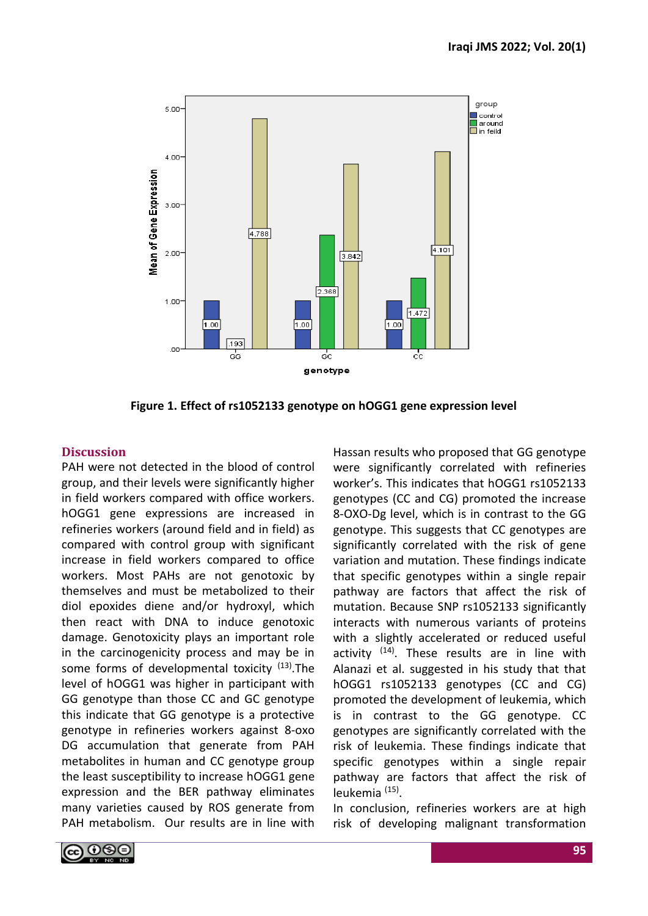

**Figure 1. Effect of rs1052133 genotype on hOGG1 gene expression level**

## **Discussion**

PAH were not detected in the blood of control group, and their levels were significantly higher in field workers compared with office workers. hOGG1 gene expressions are increased in refineries workers (around field and in field) as compared with control group with significant increase in field workers compared to office workers. Most PAHs are not genotoxic by themselves and must be metabolized to their diol epoxides diene and/or hydroxyl, which then react with DNA to induce genotoxic damage. Genotoxicity plays an important role in the carcinogenicity process and may be in some forms of developmental toxicity  $(13)$ . The level of hOGG1 was higher in participant with GG genotype than those CC and GC genotype this indicate that GG genotype is a protective genotype in refineries workers against 8-oxo DG accumulation that generate from PAH metabolites in human and CC genotype group the least susceptibility to increase hOGG1 gene expression and the BER pathway eliminates many varieties caused by ROS generate from PAH metabolism. Our results are in line with Hassan results who proposed that GG genotype were significantly correlated with refineries worker's. This indicates that hOGG1 rs1052133 genotypes (CC and CG) promoted the increase 8-OXO-Dg level, which is in contrast to the GG genotype. This suggests that CC genotypes are significantly correlated with the risk of gene variation and mutation. These findings indicate that specific genotypes within a single repair pathway are factors that affect the risk of mutation. Because SNP rs1052133 significantly interacts with numerous variants of proteins with a slightly accelerated or reduced useful activity <sup>(14)</sup>. These results are in line with Alanazi et al. suggested in his study that that hOGG1 rs1052133 genotypes (CC and CG) promoted the development of leukemia, which is in contrast to the GG genotype. CC genotypes are significantly correlated with the risk of leukemia. These findings indicate that specific genotypes within a single repair pathway are factors that affect the risk of leukemia (15) .

In conclusion, refineries workers are at high risk of developing malignant transformation

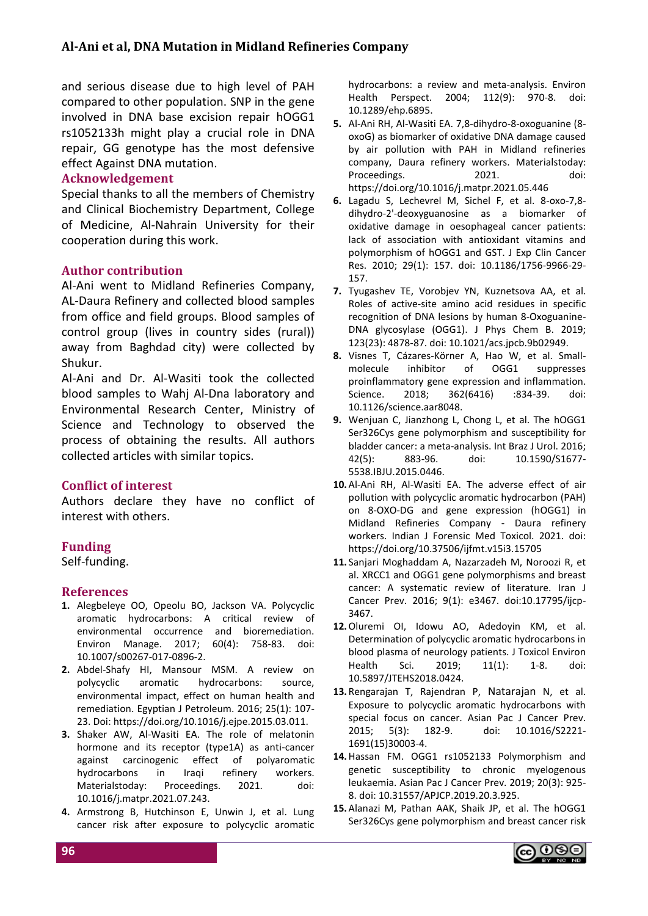and serious disease due to high level of PAH compared to other population. SNP in the gene involved in DNA base excision repair hOGG1 rs1052133h might play a crucial role in DNA repair, GG genotype has the most defensive effect Against DNA mutation.

#### **Acknowledgement**

Special thanks to all the members of Chemistry and Clinical Biochemistry Department, College of Medicine, Al-Nahrain University for their cooperation during this work.

#### **Author contribution**

Al-Ani went to Midland Refineries Company, AL-Daura Refinery and collected blood samples from office and field groups. Blood samples of control group (lives in country sides (rural)) away from Baghdad city) were collected by Shukur.

Al-Ani and Dr. Al-Wasiti took the collected blood samples to Wahj Al-Dna laboratory and Environmental Research Center, Ministry of Science and Technology to observed the process of obtaining the results. All authors collected articles with similar topics.

#### **Conflict of interest**

Authors declare they have no conflict of interest with others.

#### **Funding**

Self-funding.

#### **References**

- **1.** Alegbeleye OO, Opeolu BO, Jackson VA. Polycyclic aromatic hydrocarbons: A critical review of environmental occurrence and bioremediation. Environ Manage. 2017; 60(4): 758-83. doi: 10.1007/s00267-017-0896-2.
- **2.** Abdel-Shafy HI, Mansour MSM. A review on polycyclic aromatic hydrocarbons: source, environmental impact, effect on human health and remediation. Egyptian J Petroleum. 2016; 25(1): 107- 23. Doi: https://doi.org/10.1016/j.ejpe.2015.03.011.
- **3.** Shaker AW, Al-Wasiti EA. The role of melatonin hormone and its receptor (type1A) as anti-cancer against carcinogenic effect of polyaromatic hydrocarbons in Iraqi refinery workers. Materialstoday: Proceedings. 2021. doi: 10.1016/j.matpr.2021.07.243.
- **4.** Armstrong B, Hutchinson E, Unwin J, et al. Lung cancer risk after exposure to polycyclic aromatic

hydrocarbons: a review and meta-analysis. Environ Health Perspect. 2004; 112(9): 970-8. doi: 10.1289/ehp.6895.

- **5.** Al-Ani RH, Al-Wasiti EA. 7,8-dihydro-8-oxoguanine (8 oxoG) as biomarker of oxidative DNA damage caused by air pollution with PAH in Midland refineries company, Daura refinery workers. Materialstoday: Proceedings. 2021. doi: https://doi.org/10.1016/j.matpr.2021.05.446
- **6.** Lagadu S, Lechevrel M, Sichel F, et al. 8-oxo-7,8 dihydro-2'-deoxyguanosine as a biomarker of oxidative damage in oesophageal cancer patients: lack of association with antioxidant vitamins and polymorphism of hOGG1 and GST. J Exp Clin Cancer Res. 2010; 29(1): 157. doi: 10.1186/1756-9966-29- 157.
- **7.** Tyugashev TE, Vorobjev YN, Kuznetsova AA, et al. Roles of active-site amino acid residues in specific recognition of DNA lesions by human 8-Oxoguanine-DNA glycosylase (OGG1). J Phys Chem B. 2019; 123(23): 4878-87. doi: 10.1021/acs.jpcb.9b02949.
- **8.** Visnes T, Cázares-Körner A, Hao W, et al. Smallmolecule inhibitor of OGG1 suppresses proinflammatory gene expression and inflammation. Science. 2018; 362(6416) :834-39. doi: 10.1126/science.aar8048.
- **9.** Wenjuan C, Jianzhong L, Chong L, et al. The hOGG1 Ser326Cys gene polymorphism and susceptibility for bladder cancer: a meta-analysis. Int Braz J Urol. 2016; 42(5): 883-96. doi: 10.1590/S1677- 5538.IBJU.2015.0446.
- **10.**Al-Ani RH, Al-Wasiti EA. The adverse effect of air pollution with polycyclic aromatic hydrocarbon (PAH) on 8-OXO-DG and gene expression (hOGG1) in Midland Refineries Company - Daura refinery workers. Indian J Forensic Med Toxicol. 2021. doi: https://doi.org/10.37506/ijfmt.v15i3.15705
- **11.** Sanjari Moghaddam A, Nazarzadeh M, Noroozi R, et al. XRCC1 and OGG1 gene polymorphisms and breast cancer: A systematic review of literature. Iran J Cancer Prev. 2016; 9(1): e3467. doi:10.17795/ijcp-3467.
- **12.**Oluremi OI, Idowu AO, Adedoyin KM, et al. Determination of polycyclic aromatic hydrocarbons in blood plasma of neurology patients. J Toxicol Environ Health Sci. 2019; 11(1): 1-8. doi: 10.5897/JTEHS2018.0424.
- **13.** Rengarajan T, Rajendran P, [Natarajan](https://www.researchgate.net/profile/Nandakumar-Natarajan?_sg%5B0%5D=6eEijcs3zQkW5uVY_e0tbxHdHZWCuNSUpfrXkUtVY2-lrQuTB1u2UFvUTEi2tMGY8xGqSMw.iDj59UFNXlMnS56lZ7yexfSuESbWc918mauWh9uGXRPuC6zTrRNjGP-eOIcZal1niMdbQT88vHQpAaq07F4P-w&_sg%5B1%5D=hRTKc3ulf1M3NIVj2Q2dLJLHFWvdDSWQsAtdUhjoua0WV74euvrrdLvGHNPwhN6oK958TNI.N4M1M-hdsU0UFUbpDfjTvLzen54c8wNzOCEos1L8kpkyjQ6O1VBO_gTo8HKpex5mJ7sya06mDwusNoD18qOYaQ) N, et al. Exposure to polycyclic aromatic hydrocarbons with special focus on cancer. Asian Pac J Cancer Prev. 2015; 5(3): 182-9. doi: 10.1016/S2221- 1691(15)30003-4.
- **14.**Hassan FM. OGG1 rs1052133 Polymorphism and genetic susceptibility to chronic myelogenous leukaemia. Asian Pac J Cancer Prev. 2019; 20(3): 925- 8. doi: 10.31557/APJCP.2019.20.3.925.
- **15.**Alanazi M, Pathan AAK, Shaik JP, et al. The hOGG1 Ser326Cys gene polymorphism and breast cancer risk